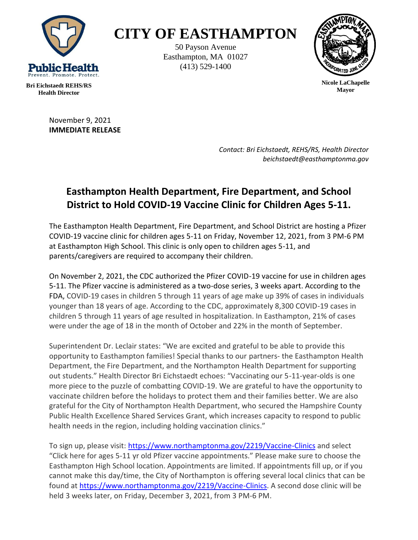

## **CITY OF EASTHAMPTON**

50 Payson Avenue Easthampton, MA 01027 (413) 529-1400



**Nicole LaChapelle Mayor**

**Bri Eichstaedt REHS/RS Health Director**

> November 9, 2021 **IMMEDIATE RELEASE**

> > *Contact: Bri Eichstaedt, REHS/RS, Health Director beichstaedt@easthamptonma.gov*

## **Easthampton Health Department, Fire Department, and School District to Hold COVID-19 Vaccine Clinic for Children Ages 5-11.**

The Easthampton Health Department, Fire Department, and School District are hosting a Pfizer COVID-19 vaccine clinic for children ages 5-11 on Friday, November 12, 2021, from 3 PM-6 PM at Easthampton High School. This clinic is only open to children ages 5-11, and parents/caregivers are required to accompany their children.

On November 2, 2021, the CDC authorized the Pfizer COVID-19 vaccine for use in children ages 5-11. The Pfizer vaccine is administered as a two-dose series, 3 weeks apart. According to the FDA, COVID-19 cases in children 5 through 11 years of age make up 39% of cases in individuals younger than 18 years of age. According to the CDC, approximately 8,300 COVID-19 cases in children 5 through 11 years of age resulted in hospitalization. In Easthampton, 21% of cases were under the age of 18 in the month of October and 22% in the month of September.

Superintendent Dr. Leclair states: "We are excited and grateful to be able to provide this opportunity to Easthampton families! Special thanks to our partners- the Easthampton Health Department, the Fire Department, and the Northampton Health Department for supporting out students." Health Director Bri Eichstaedt echoes: "Vaccinating our 5-11-year-olds is one more piece to the puzzle of combatting COVID-19. We are grateful to have the opportunity to vaccinate children before the holidays to protect them and their families better. We are also grateful for the City of Northampton Health Department, who secured the Hampshire County Public Health Excellence Shared Services Grant, which increases capacity to respond to public health needs in the region, including holding vaccination clinics."

To sign up, please visit:<https://www.northamptonma.gov/2219/Vaccine-Clinics> and select "Click here for ages 5-11 yr old Pfizer vaccine appointments." Please make sure to choose the Easthampton High School location. Appointments are limited. If appointments fill up, or if you cannot make this day/time, the City of Northampton is offering several local clinics that can be found at [https://www.northamptonma.gov/2219/Vaccine-Clinics.](https://www.northamptonma.gov/2219/Vaccine-Clinics) A second dose clinic will be held 3 weeks later, on Friday, December 3, 2021, from 3 PM-6 PM.